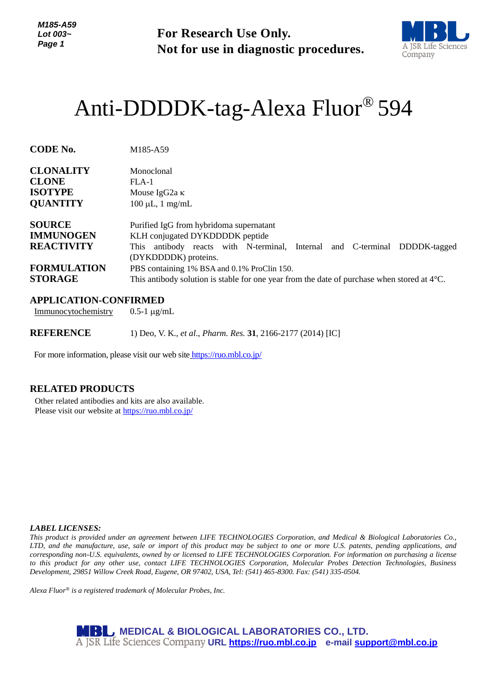**For Research Use Only. Not for use in diagnostic procedures.**



# Anti-DDDDK-tag-Alexa Fluor® 594

| <b>CODE No.</b>    | M185-A59                                                                                              |
|--------------------|-------------------------------------------------------------------------------------------------------|
| <b>CLONALITY</b>   | Monoclonal                                                                                            |
| <b>CLONE</b>       | FLA-1                                                                                                 |
| <b>ISOTYPE</b>     | Mouse IgG2a $\kappa$                                                                                  |
| <b>QUANTITY</b>    | $100 \mu L$ , 1 mg/mL                                                                                 |
| <b>SOURCE</b>      | Purified IgG from hybridoma supernatant                                                               |
| <b>IMMUNOGEN</b>   | KLH conjugated DYKDDDDK peptide                                                                       |
| <b>REACTIVITY</b>  | antibody reacts with N-terminal, Internal and C-terminal DDDDK-tagged<br>This -                       |
|                    | (DYKDDDDK) proteins.                                                                                  |
| <b>FORMULATION</b> | PBS containing 1% BSA and 0.1% ProClin 150.                                                           |
| <b>STORAGE</b>     | This antibody solution is stable for one year from the date of purchase when stored at $4^{\circ}C$ . |

## **APPLICATION-CONFIRMED**

Immunocytochemistry  $0.5-1 \mu g/mL$ 

**REFERENCE** 1) Deo, V. K., *et al*., *Pharm. Res.* **31**, 2166-2177 (2014) [IC]

For more information, please visit our web site <https://ruo.mbl.co.jp/>

## **RELATED PRODUCTS**

Other related antibodies and kits are also available. Please visit our website at<https://ruo.mbl.co.jp/>

#### *LABEL LICENSES:*

*This product is provided under an agreement between LIFE TECHNOLOGIES Corporation, and Medical & Biological Laboratories Co., LTD, and the manufacture, use, sale or import of this product may be subject to one or more U.S. patents, pending applications, and corresponding non-U.S. equivalents, owned by or licensed to LIFE TECHNOLOGIES Corporation. For information on purchasing a license to this product for any other use, contact LIFE TECHNOLOGIES Corporation, Molecular Probes Detection Technologies, Business Development, 29851 Willow Creek Road, Eugene, OR 97402, USA, Tel: (541) 465-8300. Fax: (541) 335-0504.*

*Alexa Fluor® is a registered trademark of Molecular Probes, Inc.*